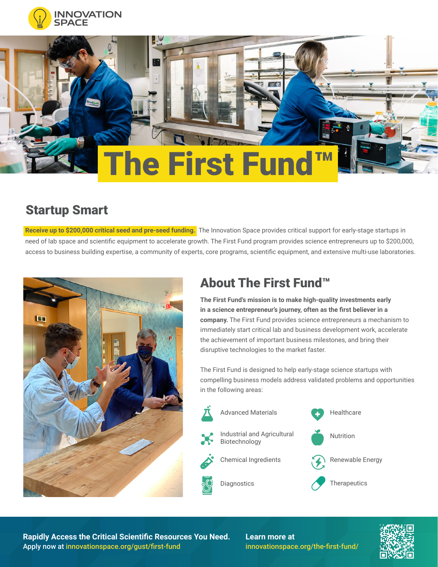



## Startup Smart

**Receive up to \$200,000 critical seed and pre-seed funding.** The Innovation Space provides critical support for early-stage startups in need of lab space and scientific equipment to accelerate growth. The First Fund program provides science entrepreneurs up to \$200,000, access to business building expertise, a community of experts, core programs, scientific equipment, and extensive multi-use laboratories.



## About The First Fund™

**The First Fund's mission is to make high-quality investments early in a science entrepreneur's journey, often as the first believer in a company.** The First Fund provides science entrepreneurs a mechanism to immediately start critical lab and business development work, accelerate the achievement of important business milestones, and bring their disruptive technologies to the market faster.

The First Fund is designed to help early-stage science startups with compelling business models address validated problems and opportunities in the following areas:



**Rapidly Access the Critical Scientific Resources You Need.** Apply now at innovationspace.org/gust/first-fund

**Learn more at** innovationspace.org/the-first-fund/